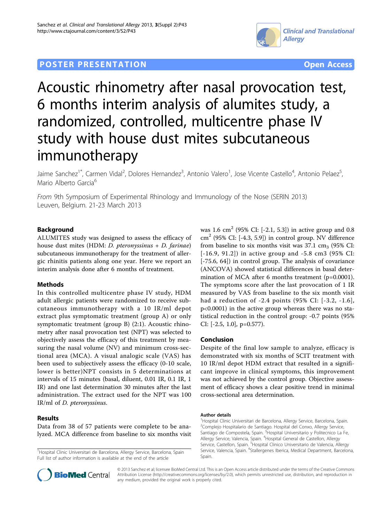## **POSTER PRESENTATION CONSUMING ACCESS**



# Acoustic rhinometry after nasal provocation test, 6 months interim analysis of alumites study, a randomized, controlled, multicentre phase IV study with house dust mites subcutaneous immunotherapy

Jaime Sanchez<sup>1\*</sup>, Carmen Vidal<sup>2</sup>, Dolores Hernandez<sup>3</sup>, Antonio Valero<sup>1</sup>, Jose Vicente Castello<sup>4</sup>, Antonio Pelaez<sup>5</sup> , Mario Alberto Garcia<sup>6</sup>

From 9th Symposium of Experimental Rhinology and Immunology of the Nose (SERIN 2013) Leuven, Belgium. 21-23 March 2013

### Background

ALUMITES study was designed to assess the efficacy of house dust mites (HDM: D. pteronyssinus + D. farinae) subcutaneous immunotherapy for the treatment of allergic rhinitis patients along one year. Here we report an interim analysis done after 6 months of treatment.

#### Methods

In this controlled multicentre phase IV study, HDM adult allergic patients were randomized to receive subcutaneous immunotherapy with a 10 IR/ml depot extract plus symptomatic treatment (group A) or only symptomatic treatment (group B) (2:1). Acoustic rhinometry after nasal provocation test (NPT) was selected to objectively assess the efficacy of this treatment by measuring the nasal volume (NV) and minimum cross-sectional area (MCA). A visual analogic scale (VAS) has been used to subjectively assess the efficacy (0-10 scale, lower is better)NPT consists in 5 determinations at intervals of 15 minutes (basal, diluent, 0.01 IR, 0.1 IR, 1 IR) and one last determination 30 minutes after the last administration. The extract used for the NPT was 100 IR/ml of D. pteronyssinus.

#### Results

Data from 38 of 57 patients were complete to be analyzed. MCA difference from baseline to six months visit

<sup>1</sup>Hospital Clinic Universitari de Barcelona, Allergy Service, Barcelona, Spain Full list of author information is available at the end of the article



### Conclusion

Despite of the final low sample to analyze, efficacy is demonstrated with six months of SCIT treatment with 10 IR/ml depot HDM extract that resulted in a significant improve in clinical symptoms, this improvement was not achieved by the control group. Objective assessment of efficacy shows a clear positive trend in minimal cross-sectional area determination.

#### Author details

<sup>1</sup>Hospital Clinic Universitari de Barcelona, Allergy Service, Barcelona, Spain. 2 Complejo Hospitalario de Santiago. Hospital del Conxo, Allergy Service, Santiago de Compostela, Spain. <sup>3</sup> Hospital Universitario y Politecnico La Fe, Allergy Service, Valencia, Spain. <sup>4</sup>Hospital General de Castellon, Allergy Service, Castellon, Spain. <sup>5</sup>Hospital Clinico Universitario de Valencia, Allergy Service, Valencia, Spain. <sup>6</sup>Stallergenes Iberica, Medical Department, Barcelona Spain.



© 2013 Sanchez et al; licensee BioMed Central Ltd. This is an Open Access article distributed under the terms of the Creative Commons Attribution License [\(http://creativecommons.org/licenses/by/2.0](http://creativecommons.org/licenses/by/2.0)), which permits unrestricted use, distribution, and reproduction in any medium, provided the original work is properly cited.